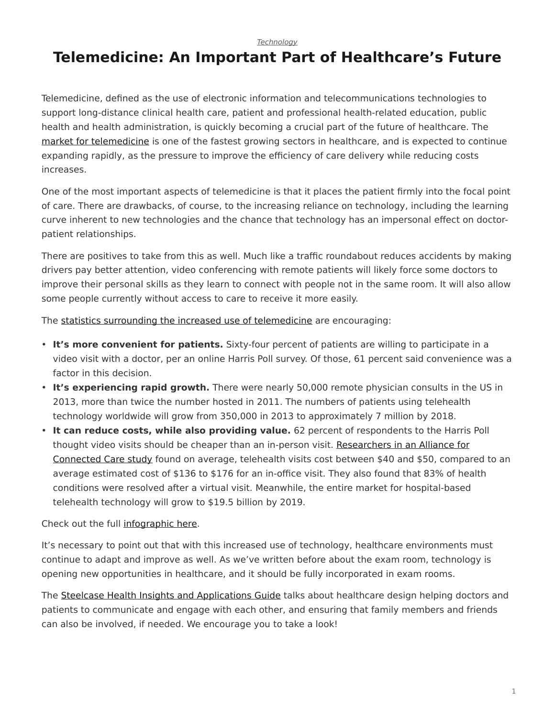*[Technology](https://www.steelcase.com/research/topics/technology/)*

## <span id="page-0-0"></span>**Telemedicine: An Important Part of Healthcare's Future**

Telemedicine, defined as the use of electronic information and telecommunications technologies to support long-distance clinical health care, patient and professional health-related education, public health and health administration, is quickly becoming a crucial part of the future of healthcare. The [market for telemedicine](http://healthworkscollective.com/david-avitabile/290826/telemedicine-market-growth) is one of the fastest growing sectors in healthcare, and is expected to continue expanding rapidly, as the pressure to improve the efficiency of care delivery while reducing costs increases.

One of the most important aspects of telemedicine is that it places the patient firmly into the focal point of care. There are drawbacks, of course, to the increasing reliance on technology, including the learning curve inherent to new technologies and the chance that technology has an impersonal effect on doctorpatient relationships.

There are positives to take from this as well. Much like a traffic roundabout reduces accidents by making drivers pay better attention, video conferencing with remote patients will likely force some doctors to improve their personal skills as they learn to connect with people not in the same room. It will also allow some people currently without access to care to receive it more easily.

The [statistics surrounding the increased use of telemedicine](http://mobihealthnews.com/39833/survey-64-percent-of-patients-willing-to-have-video-visits-with-docs/) are encouraging:

- **It's more convenient for patients.** Sixty-four percent of patients are willing to participate in a video visit with a doctor, per an online Harris Poll survey. Of those, 61 percent said convenience was a factor in this decision.
- **It's experiencing rapid growth.** There were nearly 50,000 remote physician consults in the US in 2013, more than twice the number hosted in 2011. The numbers of patients using telehealth technology worldwide will grow from 350,000 in 2013 to approximately 7 million by 2018.
- **It can reduce costs, while also providing value.** 62 percent of respondents to the Harris Poll thought video visits should be cheaper than an in-person visit. [Researchers in an Alliance for](http://healthworkscollective.com/thielst/285556/virtual-visits-cutting-healthcare-costs) [Connected Care study](http://healthworkscollective.com/thielst/285556/virtual-visits-cutting-healthcare-costs) found on average, telehealth visits cost between \$40 and \$50, compared to an average estimated cost of \$136 to \$176 for an in-office visit. They also found that 83% of health conditions were resolved after a virtual visit. Meanwhile, the entire market for hospital-based telehealth technology will grow to \$19.5 billion by 2019.

Check out the full [infographic here](https://chironhealth.com/blog/from-around-the-web-11-fabulous-infographics-about-telemedicine/).

It's necessary to point out that with this increased use of technology, healthcare environments must continue to adapt and improve as well. As we've written before about the exam room, technology is opening new opportunities in healthcare, and it should be fully incorporated in exam rooms.

The [Steelcase Health Insights and Applications Guide](https://www.steelcase.com/resources/documents/steelcase-health-time-change-insights-applications-guide/) talks about healthcare design helping doctors and patients to communicate and engage with each other, and ensuring that family members and friends can also be involved, if needed. We encourage you to take a look!